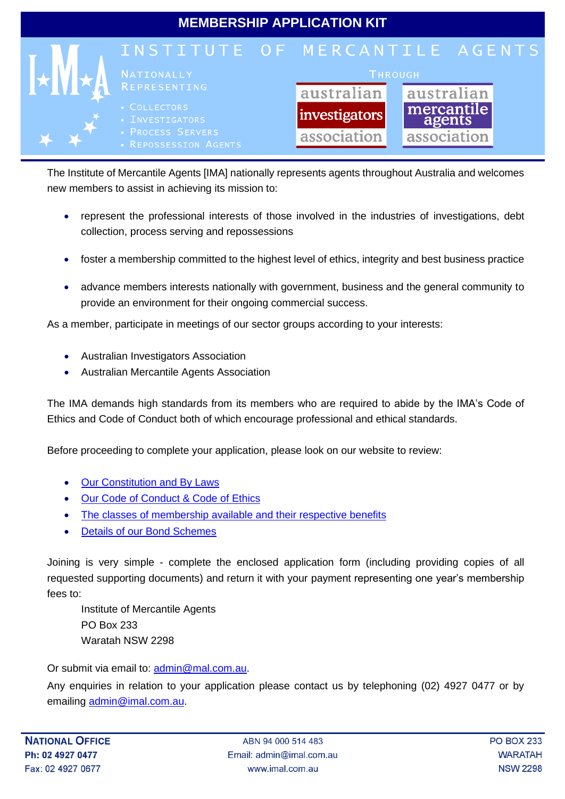

The Institute of Mercantile Agents [IMA] nationally represents agents throughout Australia and welcomes new members to assist in achieving its mission to:

- represent the professional interests of those involved in the industries of investigations, debt collection, process serving and repossessions
- foster a membership committed to the highest level of ethics, integrity and best business practice
- advance members interests nationally with government, business and the general community to provide an environment for their ongoing commercial success.

As a member, participate in meetings of our sector groups according to your interests:

- Australian Investigators Association
- Australian Mercantile Agents Association

The IMA demands high standards from its members who are required to abide by the IMA's Code of Ethics and Code of Conduct both of which encourage professional and ethical standards.

Before proceeding to complete your application, please look on our website to review:

- **[Our Constitution and By Laws](http://www.imal.com.au/images/ima/membership/constitution.pdf)**
- [Our Code of Conduct & Code of Ethics](http://www.imal.com.au/images/ima/membership/ethics-conduct.pdf)
- [The classes of membership available and their respective benefits](http://www.imal.com.au/index.php/contact-ima/join-ima)
- [Details of our Bond Schemes](http://www.imal.com.au/index.php/member-services/fidelity-bonds)

Joining is very simple - complete the enclosed application form (including providing copies of all requested supporting documents) and return it with your payment representing one year's membership fees to:

Institute of Mercantile Agents PO Box 233 Waratah NSW 2298

Or submit via email to: [admin@mal.com.au.](mailto:admin@mal.com.au)

Any enquiries in relation to your application please contact us by telephoning (02) 4927 0477 or by emailing [admin@imal.com.au.](mailto:admin@imal.com.au)

ABN 94 000 514 483 Email: admin@imal.com.au www.imal.com.au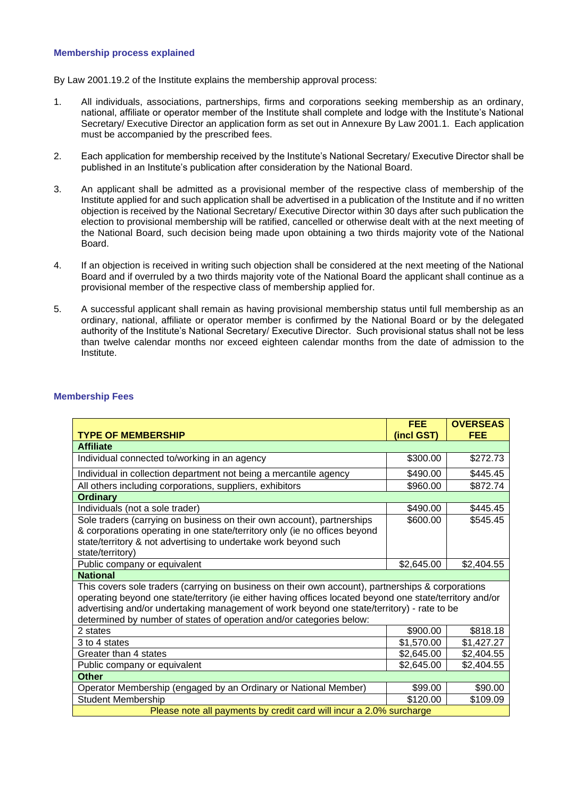## **Membership process explained**

By Law 2001.19.2 of the Institute explains the membership approval process:

- 1. All individuals, associations, partnerships, firms and corporations seeking membership as an ordinary, national, affiliate or operator member of the Institute shall complete and lodge with the Institute's National Secretary/ Executive Director an application form as set out in Annexure By Law 2001.1. Each application must be accompanied by the prescribed fees.
- 2. Each application for membership received by the Institute's National Secretary/ Executive Director shall be published in an Institute's publication after consideration by the National Board.
- 3. An applicant shall be admitted as a provisional member of the respective class of membership of the Institute applied for and such application shall be advertised in a publication of the Institute and if no written objection is received by the National Secretary/ Executive Director within 30 days after such publication the election to provisional membership will be ratified, cancelled or otherwise dealt with at the next meeting of the National Board, such decision being made upon obtaining a two thirds majority vote of the National Board.
- 4. If an objection is received in writing such objection shall be considered at the next meeting of the National Board and if overruled by a two thirds majority vote of the National Board the applicant shall continue as a provisional member of the respective class of membership applied for.
- 5. A successful applicant shall remain as having provisional membership status until full membership as an ordinary, national, affiliate or operator member is confirmed by the National Board or by the delegated authority of the Institute's National Secretary/ Executive Director. Such provisional status shall not be less than twelve calendar months nor exceed eighteen calendar months from the date of admission to the Institute.

|                                                                                                          | <b>FEE</b> | <b>OVERSEAS</b> |  |  |
|----------------------------------------------------------------------------------------------------------|------------|-----------------|--|--|
| <b>TYPE OF MEMBERSHIP</b><br>(incl GST)<br><b>FEE</b>                                                    |            |                 |  |  |
| <b>Affiliate</b>                                                                                         |            |                 |  |  |
| Individual connected to/working in an agency                                                             | \$300.00   | \$272.73        |  |  |
| Individual in collection department not being a mercantile agency                                        | \$490.00   | \$445.45        |  |  |
| All others including corporations, suppliers, exhibitors                                                 | \$960.00   | \$872.74        |  |  |
| <b>Ordinary</b>                                                                                          |            |                 |  |  |
| Individuals (not a sole trader)                                                                          | \$490.00   | \$445.45        |  |  |
| Sole traders (carrying on business on their own account), partnerships                                   | \$600.00   | \$545.45        |  |  |
| & corporations operating in one state/territory only (ie no offices beyond                               |            |                 |  |  |
| state/territory & not advertising to undertake work beyond such                                          |            |                 |  |  |
| state/territory)                                                                                         |            |                 |  |  |
| Public company or equivalent                                                                             | \$2,645.00 | \$2,404.55      |  |  |
| <b>National</b>                                                                                          |            |                 |  |  |
| This covers sole traders (carrying on business on their own account), partnerships & corporations        |            |                 |  |  |
| operating beyond one state/territory (ie either having offices located beyond one state/territory and/or |            |                 |  |  |
| advertising and/or undertaking management of work beyond one state/territory) - rate to be               |            |                 |  |  |
| determined by number of states of operation and/or categories below:                                     |            |                 |  |  |
| 2 states                                                                                                 | \$900.00   | \$818.18        |  |  |
| 3 to 4 states                                                                                            | \$1,570.00 | \$1,427.27      |  |  |
| Greater than 4 states                                                                                    | \$2,645.00 | \$2,404.55      |  |  |
| Public company or equivalent                                                                             | \$2,645.00 | \$2,404.55      |  |  |
| <b>Other</b>                                                                                             |            |                 |  |  |
| Operator Membership (engaged by an Ordinary or National Member)                                          | \$99.00    | \$90.00         |  |  |
| <b>Student Membership</b>                                                                                | \$120.00   | \$109.09        |  |  |
| Please note all payments by credit card will incur a 2.0% surcharge                                      |            |                 |  |  |

## **Membership Fees**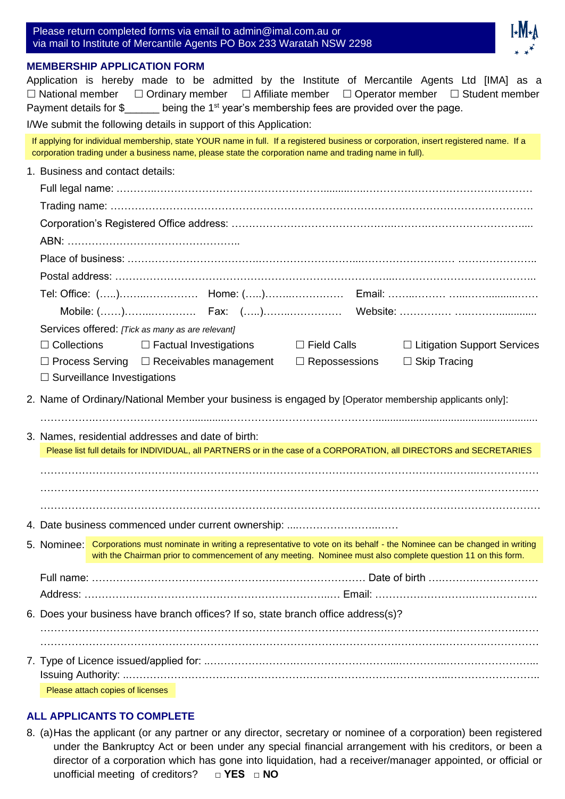| Please return completed forms via email to admin@imal.com.au or        |  |
|------------------------------------------------------------------------|--|
| via mail to Institute of Mercantile Agents PO Box 233 Waratah NSW 2298 |  |



## **MEMBERSHIP APPLICATION FORM**

|             | Application is hereby made to be admitted by the Institute of Mercantile Agents Ltd [IMA] as a<br>$\Box$ National member $\Box$ Ordinary member $\Box$ Affiliate member $\Box$ Operator member $\Box$ Student member<br>Payment details for \$_____ being the 1 <sup>st</sup> year's membership fees are provided over the page. |
|-------------|----------------------------------------------------------------------------------------------------------------------------------------------------------------------------------------------------------------------------------------------------------------------------------------------------------------------------------|
|             | I/We submit the following details in support of this Application:                                                                                                                                                                                                                                                                |
|             | If applying for individual membership, state YOUR name in full. If a registered business or corporation, insert registered name. If a<br>corporation trading under a business name, please state the corporation name and trading name in full).                                                                                 |
|             | 1. Business and contact details:                                                                                                                                                                                                                                                                                                 |
|             |                                                                                                                                                                                                                                                                                                                                  |
|             |                                                                                                                                                                                                                                                                                                                                  |
|             |                                                                                                                                                                                                                                                                                                                                  |
|             |                                                                                                                                                                                                                                                                                                                                  |
|             |                                                                                                                                                                                                                                                                                                                                  |
|             |                                                                                                                                                                                                                                                                                                                                  |
|             |                                                                                                                                                                                                                                                                                                                                  |
|             |                                                                                                                                                                                                                                                                                                                                  |
|             |                                                                                                                                                                                                                                                                                                                                  |
|             | Services offered: [Tick as many as are relevant]                                                                                                                                                                                                                                                                                 |
|             | $\Box$ Collections $\Box$ Factual Investigations $\Box$ Field Calls<br>□ Litigation Support Services                                                                                                                                                                                                                             |
|             | $\Box$ Process Serving $\Box$ Receivables management $\Box$ Repossessions<br>$\Box$ Skip Tracing<br>$\Box$ Surveillance Investigations                                                                                                                                                                                           |
|             |                                                                                                                                                                                                                                                                                                                                  |
|             | 2. Name of Ordinary/National Member your business is engaged by [Operator membership applicants only]:                                                                                                                                                                                                                           |
|             |                                                                                                                                                                                                                                                                                                                                  |
|             | 3. Names, residential addresses and date of birth:                                                                                                                                                                                                                                                                               |
|             | Please list full details for INDIVIDUAL, all PARTNERS or in the case of a CORPORATION, all DIRECTORS and SECRETARIES                                                                                                                                                                                                             |
|             |                                                                                                                                                                                                                                                                                                                                  |
|             |                                                                                                                                                                                                                                                                                                                                  |
|             |                                                                                                                                                                                                                                                                                                                                  |
|             | 4. Date business commenced under current ownership:                                                                                                                                                                                                                                                                              |
| 5. Nominee: | Corporations must nominate in writing a representative to vote on its behalf - the Nominee can be changed in writing                                                                                                                                                                                                             |
|             | with the Chairman prior to commencement of any meeting. Nominee must also complete question 11 on this form.                                                                                                                                                                                                                     |
|             |                                                                                                                                                                                                                                                                                                                                  |
|             |                                                                                                                                                                                                                                                                                                                                  |
|             |                                                                                                                                                                                                                                                                                                                                  |
|             | 6. Does your business have branch offices? If so, state branch office address(s)?                                                                                                                                                                                                                                                |
|             |                                                                                                                                                                                                                                                                                                                                  |
|             |                                                                                                                                                                                                                                                                                                                                  |
|             |                                                                                                                                                                                                                                                                                                                                  |
|             | Please attach copies of licenses                                                                                                                                                                                                                                                                                                 |

## **ALL APPLICANTS TO COMPLETE**

8. (a)Has the applicant (or any partner or any director, secretary or nominee of a corporation) been registered under the Bankruptcy Act or been under any special financial arrangement with his creditors, or been a director of a corporation which has gone into liquidation, had a receiver/manager appointed, or official or unofficial meeting of creditors? **□ YES □ NO**